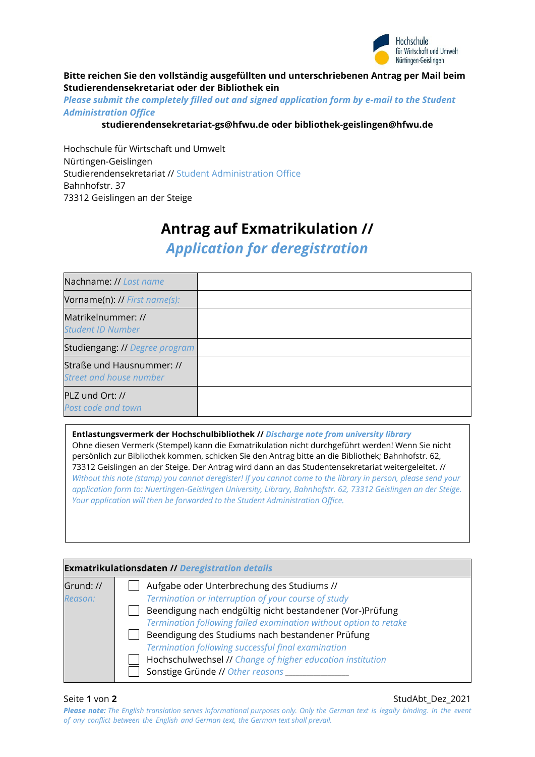

## **Bitte reichen Sie den vollständig ausgefüllten und unterschriebenen Antrag per Mail beim Studierendensekretariat oder der Bibliothek ein**

*Please submit the completely filled out and signed application form by e-mail to the Student Administration Office*

## **[studierendensekretariat-gs@hfwu.de](mailto:studierendensekretariat-gs@hfwu.de) oder bibliothek-geislingen@hfwu.de**

Hochschule für Wirtschaft und Umwelt Nürtingen-Geislingen Studierendensekretariat // Student Administration Office Bahnhofstr. 37 73312 Geislingen an der Steige

# **Antrag auf Exmatrikulation //**

*Application for deregistration*

| Nachname: // Last name                                      |  |
|-------------------------------------------------------------|--|
| Vorname(n): // First name(s):                               |  |
| Matrikelnummer: //<br><b>Student ID Number</b>              |  |
| Studiengang: // Degree program                              |  |
| Straße und Hausnummer: //<br><b>Street and house number</b> |  |
| PLZ und Ort: //<br>Post code and town                       |  |

### **Entlastungsvermerk der Hochschulbibliothek //** *Discharge note from university library*

Ohne diesen Vermerk (Stempel) kann die Exmatrikulation nicht durchgeführt werden! Wenn Sie nicht persönlich zur Bibliothek kommen, schicken Sie den Antrag bitte an die Bibliothek; Bahnhofstr. 62, 73312 Geislingen an der Steige. Der Antrag wird dann an das Studentensekretariat weitergeleitet. // *Without this note (stamp) you cannot deregister! If you cannot come to the library in person, please send your application form to: Nuertingen-Geislingen University, Library, Bahnhofstr. 62, 73312 Geislingen an der Steige. Your application will then be forwarded to the Student Administration Office.*

| <b>Exmatrikulationsdaten // Deregistration details</b> |                                                                                                                                                                                                                                                                                                                                                                                                                                                 |  |
|--------------------------------------------------------|-------------------------------------------------------------------------------------------------------------------------------------------------------------------------------------------------------------------------------------------------------------------------------------------------------------------------------------------------------------------------------------------------------------------------------------------------|--|
| Grund: //<br>Reason:                                   | Aufgabe oder Unterbrechung des Studiums //<br>Termination or interruption of your course of study<br>Beendigung nach endgültig nicht bestandener (Vor-)Prüfung<br>Termination following failed examination without option to retake<br>Beendigung des Studiums nach bestandener Prüfung<br>Termination following successful final examination<br>Hochschulwechsel // Change of higher education institution<br>Sonstige Gründe // Other reasons |  |

Seite **1** von **2** StudAbt\_Dez\_2021